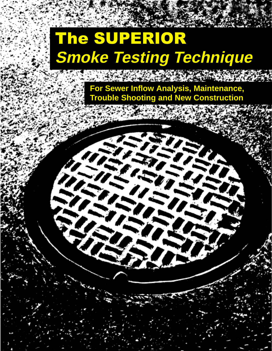# The SUPERIOR **Smoke Testing Technique**

**CONSTRUCTION** 

**For Sewer Inflow Analysis, Maintenance, Trouble Shooting and New Construction**

n.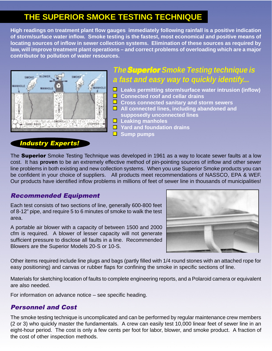# **THE SUPERIOR SMOKE TESTING TECHNIQUE**

**High readings on treatment plant flow gauges immediately following rainfall is a positive indication of storm/surface water inflow. Smoke testing is the fastest, most economical and positive means of locating sources of inflow in sewer collection systems. Elimination of these sources as required by law, will improve treatment plant operations – and correct problems of overloading which are a major contributor to pollution of water resources.**



# **The** Superior Superior **Smoke Testing technique is a fast and easy way to quickly identify...**

- **Leaks permitting storm/surface water intrusion (inflow)**
- **Connected roof and cellar drains**
- **L** Cross connected sanitary and storm sewers
- **All connected lines, including abandoned and supposedly unconnected lines**
- **Leaking manholes**
- **Yard and foundation drains**
- **Sump pumps**

# Industry Experts!

The **Superior** Smoke Testing Technique was developed in 1961 as a way to locate sewer faults at a low cost. It has **proven** to be an extremely effective method of pin-pointing sources of inflow and other sewer line problems in both existing and new collection systems. When you use Superior Smoke products you can be confident in your choice of suppliers. All products meet recommendations of NASSCO, EPA & WEF. Our products have identified inflow problems in millions of feet of sewer line in thousands of municipalities!

# Recommended Equipment

Each test consists of two sections of line, generally 600-800 feet of 8-12" pipe, and require 5 to 6 minutes of smoke to walk the test area.

A portable air blower with a capacity of between 1500 and 2000 cfm is required. A blower of lesser capacity will not generate sufficient pressure to disclose all faults in a line. Recommended Blowers are the Superior Models 20-S or 10-S.



Other items required include line plugs and bags (partly filled with 1/4 round stones with an attached rope for easy positioning) and canvas or rubber flaps for confining the smoke in specific sections of line.

Materials for sketching location of faults to complete engineering reports, and a Polaroid camera or equivalent are also needed.

For information on advance notice – see specific heading.

# Personnel and Cost

The smoke testing technique is uncomplicated and can be performed by regular maintenance crew members (2 or 3) who quickly master the fundamentals. A crew can easily test 10,000 linear feet of sewer line in an eight-hour period. The cost is only a few cents per foot for labor, blower, and smoke product. A fraction of the cost of other inspection methods.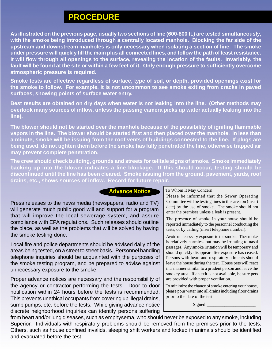# **PROCEDURE**

**As illustrated on the previous page, usually two sections of line (600-800 ft.) are tested simultaneously, with the smoke being introduced through a centrally located manhole. Blocking the far side of the upstream and downstream manholes is only necessary when isolating a section of line. The smoke under pressure will quickly fill the main plus all connected lines, and follow the path of least resistance. It will flow through all openings to the surface, revealing the location of the faults. Invariably, the fault will be found at the site or within a few feet of it. Only enough pressure to sufficiently overcome atmospheric pressure is required.**

**Smoke tests are effective regardless of surface, type of soil, or depth, provided openings exist for the smoke to follow. For example, it is not uncommon to see smoke exiting from cracks in paved surfaces, showing points of surface water entry.**

**Best results are obtained on dry days when water is not leaking into the line. (Other methods may overlook many sources of inflow, unless the passing camera picks up water actually leaking into the line).**

**The blower should not be started over the manhole because of the possibility of igniting flammable vapors in the line. The blower should be started first and then placed over the manhole. In less than a minute, smoke will be issuing from the roof vents of buildings connected to the line. If plugs are being used, do not tighten them before the smoke has fully penetrated the line, otherwise trapped air may prevent complete penetration.**

**The crew should check building, grounds and streets for telltale signs of smoke. Smoke immediately backing up into the blower indicates a line blockage. If this should occur, testing should be discontinued until the line has been cleared. Smoke issuing from the ground, pavement, yards, roof drains, etc., shows sources of inflow. Record for future repair.**

## **Advance Notice**

Press releases to the news media (newspapers, radio and TV) will generate much public good will and support for a program that will improve the local sewerage system, and assure compliance with EPA regulations. Such releases should outline the place, as well as the problems that will be solved by having the smoke testing done.

Local fire and police departments should be advised daily of the areas being tested, on a street to street basis. Personnel handling telephone inquiries should be acquainted with the purposes of the smoke testing program, and be prepared to advise against unnecessary exposure to the smoke.

Proper advance notices are necessary and the responsibility of the agency or contractor performing the tests. Door to door notification within 24 hours before the tests is recommended. This prevents unethical occupants from covering up illegal drains, sump pumps, etc. before the tests. While giving advance notice discrete neighborhood inquiries can identify persons suffering

### To Whom It May Concern:

Please be informed that the Sewer Operating Committee will be testing lines in this area on (insert date) by the use of smoke. The smoke should not enter the premises unless a leak is present.

The presence of smoke in your house should be reported immediately to the personnel conducting the tests, or by calling (insert telephone number).

Avoid unnecessary exposure to the smoke. The smoke is relatively harmless but may be irritating to nasal passages. Any smoke irritation will be temporary and should quickly disappear after exposure has ceased. Persons with heart and respiratory ailments should leave the house during the test. House pets will react in a manner similar to a prudent person and leave the smokey area. If an exit is not available, be sure pets are provided with proper ventilation.

To minimize the chance of smoke entering your house, please pour water into all drains including floor drains prior to the date of the test.

Signed \_

from heart and/or lung diseases, such as emphysema, who should never be exposed to any smoke, including Superior. Individuals with respiratory problems should be removed from the premises prior to the tests. Others, such as house confined invalids, sleeping shift workers and locked in animals should be identified and evacuated before the test.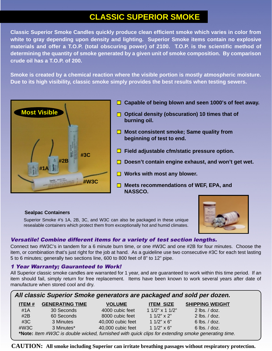# **CLASSIC SUPERIOR SMOKE**

**Classic Superior Smoke Candles quickly produce clean efficient smoke which varies in color from white to gray depending upon density and lighting. Superior Smoke items contain no explosive materials and offer a T.O.P. (total obscuring power) of 2100. T.O.P. is the scientific method of determining the quantity of smoke generated by a given unit of smoke composition. By comparison crude oil has a T.O.P. of 200.**

**Smoke is created by a chemical reaction where the visible portion is mostly atmospheric moisture. Due to its high visibility, classic smoke simply provides the best results when testing sewers.**



- **Capable of being blown and seen 1000's of feet away.**
- **Optical density (obscuration) 10 times that of burning oil.**
- **Most consistent smoke; Same quality from beginning of test to end.**
- **Field adjustable cfm/static pressure option.**
- **Doesn't contain engine exhaust, and won't get wet.**
- **Works with most any blower.**
- **Meets recommendations of WEF, EPA, and NASSCO.**



### **Sealpac Containers**

Superior Smoke #'s 1A, 2B, 3C, and W3C can also be packaged in these unique resealable containers which protect them from exceptionally hot and humid climates.

### Versatile! Combine different items for a variety of test section lengths.

Connect two #W3C's in tandem for a 6 minute burn time, or one #W3C and one #2B for four minutes. Choose the item, or combination that's just right for the job at hand. As a guideline use two consecutive #3C for each test lasting 5 to 6 minutes; generally two sections line, 600 to 800 feet of 8" to 12" pipe.

### 1 Year Warranty; Gauranteed to Work!

All Superior classic smoke candles are warranted for 1 year, and are guaranteed to work within this time period. If an item should fail, simply return for free replacement. Items have been known to work several years after date of manufacture when stored cool and dry.

| All classic Superior Smoke generators are packaged and sold per dozen.                             |                        |                   |                       |                        |  |
|----------------------------------------------------------------------------------------------------|------------------------|-------------------|-----------------------|------------------------|--|
| <b>ITEM#</b>                                                                                       | <b>GENERATING TIME</b> | <b>VOLUME</b>     | <b>ITEM SIZE</b>      | <b>SHIPPING WEIGHT</b> |  |
| #1 $A$                                                                                             | 30 Seconds             | 4000 cubic feet   | 1 $1/2$ " x 1 $1/2$ " | $2$ lbs. $/$ doz.      |  |
| #2B                                                                                                | 60 Seconds             | 8000 cubic feet   | 1 $1/2$ " x $2$ "     | $2$ lbs. $/$ doz.      |  |
| #3C                                                                                                | 3 Minutes              | 40,000 cubic feet | $11/2" \times 6"$     | $6$ lbs. $/$ doz.      |  |
| #W3C                                                                                               | 3 Minutes*             | 40,000 cubic feet | 1 $1/2$ " x 6"        | $6$ lbs. $/$ doz.      |  |
| *Note: Item #W3C is double wicked, furnished with quick clips for extending smoke generating time. |                        |                   |                       |                        |  |

**CAUTION: All smoke including Superior can irritate breathing passages without respiratory protection.**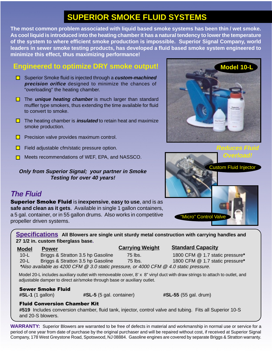# **SUPERIOR SMOKE FLUID SYSTEMS**

**The most common problem associated with liquid based smoke systems has been thin / wet smoke. As cool liquid is introduced into the heating chamber it has a natural tendency to lower the temperature of the system to where efficient smoke production is impossible. Superior Signal Company, world leaders in sewer smoke testing products, has developed a fluid based smoke system engineered to minimize this effect, thus maximizing performance!**

# **Engineered to optimize DRY smoke output!**

- Superior Smoke fluid is injected through a **custom-machined precision orifice** designed to minimize the chances of "overloading" the heating chamber.
- **T** The **unique heating chamber** is much larger than standard muffler type smokers, thus extending the time available for fluid to convert to smoke.
- The heating chamber is **insulated** to retain heat and maximize smoke production.
- $\Box$  Precision valve provides maximum control.
- $\Box$  Field adjustable cfm/static pressure option.
- **□** Meets recommendations of WEF, EPA, and NASSCO.

### **Only from Superior Signal; your partner in Smoke Testing for over 40 years!**

# **The Fluid**

Superior Smoke Fluid is **inexpensive**, **easy to use**, and is as **safe and clean as it gets**. Available in single 1 gallon containers, a 5 gal. container, or in 55 gallon drums. Also works in competitive propeller driven systems.

**Specifications All Blowers are single unit sturdy metal construction with carrying handles and 27 1/2 in. custom fiberglass base.**

**Carrying Weight**

### **Model Power Standard Capacity**

 10-L Briggs & Stratton 3.5 hp Gasoline 75 lbs. 1800 CFM @ 1.7 static pressure**\*** 20-L Briggs & Stratton 3.5 hp Gasoline 75 lbs. 1800 CFM @ 1.7 static pressure**\* \***Also available as 4200 CFM @ 3.0 static pressure, or 4000 CFM @ 4.0 static pressure.

Model 20-L includes auxiliary outlet with removeable cover, 8' x 8" vinyl duct with draw strings to attach to outlet, and adjustable damper to direct air/smoke through base or auxiliary outlet.

### Sewer Smoke Fluid

**#SL-1** (1 gallon) **#SL-5** (5 gal. container) **#SL-55** (55 gal. drum)

# Fluid Conversion Chamber Kit

**#519** Includes conversion chamber, fluid tank, injector, control valve and tubing. Fits all Superior 10-S and 20-S blowers.

**WARRANTY:** Superior Blowers are warranted to be free of defects in material and workmanship in normal use or service for a period of one year from date of purchase by the original purchaser and will be repaired without cost, if received at Superior Signal Company, 178 West Greystone Road, Spotswood, NJ 08884. Gasoline engines are covered by separate Briggs & Stratton warranty.



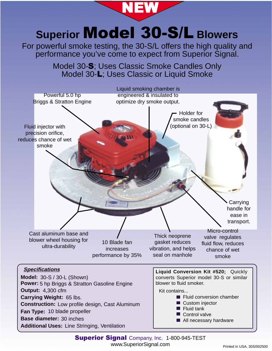**Superior Model 30-S/L Blowers** For powerful smoke testing, the 30-S/L offers the high quality and performance you've come to expect from Superior Signal. Powerful 5.0 hp Briggs & Stratton Engine Cast aluminum base and blower wheel housing for ultra-durability Thick neoprene gasket reduces vibration, and helps seal on manhole Liquid smoking chamber is engineered & insulated to optimize dry smoke output. Holder for smoke candles (optional on 30-L) Micro-control valve regulates fluid flow, reduces chance of wet smoke Fluid injector with precision orifice, reduces chance of wet smoke Model 30-**S**; Uses Classic Smoke Candles Only Model 30-**L**; Uses Classic or Liquid Smoke 10 Blade fan increases performance by 35% **Carrying** handle for ease in transport. NEW **Model:** 30-S / 30-L (Shown) **Output: 4,300 cfm Power:** 5 hp Briggs & Stratton Gasoline Engine **Carrying Weight:** 65 lbs. **Construction:** Low profile design, Cast Aluminum **Fan Type:** 10 blade propeller **Base diameter:** 30 inches **Liquid Conversion Kit #520;** Quickly converts Superior model 30-S or similar blower to fluid smoker. Kit contains... **Fluid conversion chamber** ■ Custom injector  $\blacksquare$  Fluid tank Control valve ■ All necessary hardware **Specifications Additional Uses:** Line Stringing, Ventilation

> **Superior Signal** Company, Inc. 1-800-945-TEST www.SuperiorSignal.com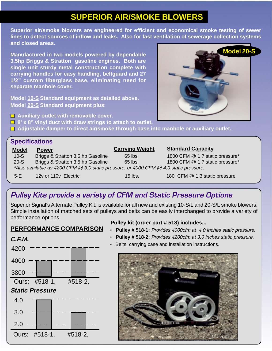# **SUPERIOR AIR/SMOKE BLOWERS**

**Superior air/smoke blowers are engineered for efficient and economical smoke testing of sewer lines to detect sources of inflow and leaks. Also for fast ventilation of sewerage collection systems and closed areas.**

**Manufactured in two models powered by dependable 3.5hp Briggs & Stratton gasoline engines. Both are single unit sturdy metal construction complete with carrying handles for easy handling, beltguard and 27 1/2" custom fiberglass base, eliminating need for separate manhole cover.**

**Model 10-S Standard equipment as detailed above. Model 20-S Standard equipment plus**:

**■ Auxiliary outlet with removable cover.** 

■ 8' x 8" vinyl duct with draw strings to attach to outlet.

**Adjustable damper to direct air/smoke through base into manhole or auxiliary outlet.**

# **Specifications**

| 1800 CFM @ 1.7 static pressure*                                                       |  |  |  |  |
|---------------------------------------------------------------------------------------|--|--|--|--|
|                                                                                       |  |  |  |  |
| 1800 CFM @ 1.7 static pressure*                                                       |  |  |  |  |
| *Also available as 4200 CFM @ 3.0 static pressure, or 4000 CFM @ 4.0 static pressure. |  |  |  |  |
| 180 CFM @ 1.3 static pressure                                                         |  |  |  |  |
|                                                                                       |  |  |  |  |

# **Pulley Kits provide a variety of CFM and Static Pressure Options**

Superior Signal's Alternate Pulley Kit, is available for all new and existing 10-S/L and 20-S/L smoke blowers. Simple installation of matched sets of pulleys and belts can be easily interchanged to provide a variety of performance options.

# **PERFORMANCE COMPARISON**



### **Pulley kit (order part # 518) includes...**

• **Pulley # 518-1;** Provides 4000cfm at 4.0 inches static pressure.

**Model 20-S**

- **Pulley # 518-2;** Provides 4200cfm at 3.0 inches static pressure.
- Belts, carrying case and installation instructions.

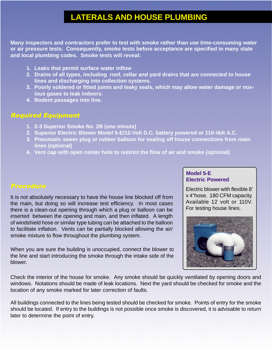# **LATERALS AND HOUSE PLUMBING**

**Many inspectors and contractors prefer to test with smoke rather than use time-consuming water or air pressure tests. Consequently, smoke tests before acceptance are specified in many state and local plumbing codes. Smoke tests will reveal:**

- **1. Leaks that permit surface water inflow**
- **2. Drains of all types, including roof, cellar and yard drains that are connected to house lines and discharging into collection systems.**
- **3. Poorly soldered or fitted joints and leaky seals, which may allow water damage or noxious gases to leak indoors.**
- **4. Rodent passages into line.**

### Required Equipment

- **1. 2-3 Superior Smoke No. 2B (one minute)**
- **2. Superior Electric Blower Model 5-E/12-Volt D.C. battery powered or 110-Volt A.C.**
- **3. Pneumatic sewer plug or rubber balloon for sealing off house connections from main lines (optional)**
- **4. Vent cap with open center hole to restrict the flow of air and smoke (optional)**

It is not absolutely necessary to have the house line blocked off from the main, but doing so will increase test efficiency. In most cases there is a clean-out opening through which a plug or balloon can be inserted between the opening and main, and then inflated. A length of windshield hose or similar type tubing can be attached to the balloon to facilitate inflation. Vents can be partially blocked allowing the air/ smoke mixture to flow throughout the plumbing system.

When you are sure the building is unoccupied, connect the blower to the line and start introducing the smoke through the intake side of the blower.

### **Model 5-E Electric Powered**

Electric blower with flexible 8' x 4"hose. 180 CFM capacity. Available 12 volt or 110V. For testing house lines.



Check the interior of the house for smoke. Any smoke should be quickly ventilated by opening doors and windows. Notations should be made of leak locations. Next the yard should be checked for smoke and the location of any smoke marked for later correction of faults.

All buildings connected to the lines being tested should be checked for smoke. Points of entry for the smoke should be located. If entry to the buildings is not possible once smoke is discovered, it is advisable to return later to determine the point of entry.